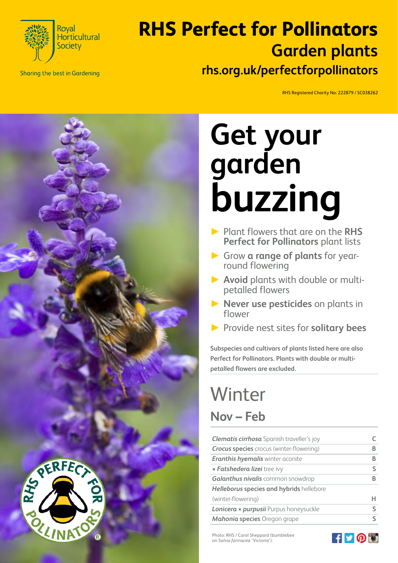

**Sharing the best in Gardening** 

#### **RHS Perfect for Pollinators rhs.org.uk/perfectforpollinators Garden plants**

RHS Registered Charity No: 222879 / SC038262



# **Get your garden buzzing**

- ► Plant flowers that are on the **RHS Perfect for Pollinators** plant lists
- ► Grow **a range of plants** for yearround flowering
- ► **Avoid** plants with double or multipetalled flowers
- ► **Never use pesticides** on plants in flower
- ► Provide nest sites for **solitary bees**

**Subspecies and cultivars of plants listed here are also Perfect for Pollinators. Plants with double or multipetalled flowers are excluded.**

## **Winter Nov – Feb**

| <b>Clematis cirrhosa</b> Spanish traveller's joy |   |
|--------------------------------------------------|---|
| <b>Crocus species</b> crocus (winter-flowering)  | R |
| <b>Eranthis hyemalis winter aconite</b>          | B |
| <b>* Fatshedera lizei</b> tree ivy               | ς |
| Galanthus nivalis common snowdrop                | B |
| Helleborus species and hybrids hellebore         |   |
| (winter-flowering)                               | н |
| Lonicera x purpusii Purpus honeysuckle           |   |
| Mahonia species Oregon grape                     |   |

Photo: RHS / Carol Sheppard (bumblebee on *Salvia farinacea* 'Victoria').

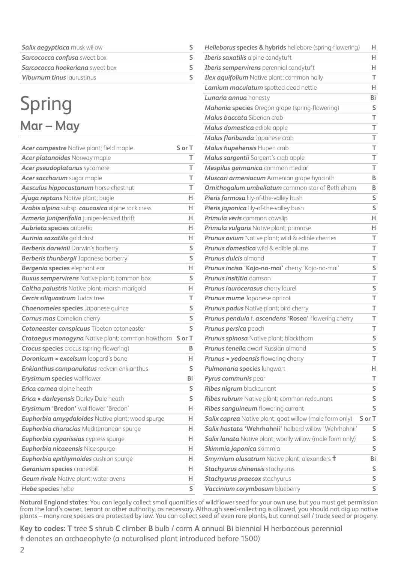| Salix aegyptiaca musk willow           |  |
|----------------------------------------|--|
| Sarcococca confusa sweet box           |  |
| <b>Sarcococca hookeriana</b> sweet box |  |
| Viburnum tinus laurustinus             |  |

### Spring **Mar – May**

| Acer campestre Native plant; field maple                | S or T                  |
|---------------------------------------------------------|-------------------------|
| Acer platanoides Norway maple                           | т                       |
| Acer pseudoplatanus sycamore                            | T                       |
| Acer saccharum sugar maple                              | T.                      |
| Aesculus hippocastanum horse chestnut                   | T                       |
| Ajuga reptans Native plant; bugle                       | н                       |
| Arabis alpina subsp. caucasica alpine rock cress        | H                       |
| Armeria juniperifolia juniper-leaved thrift             | н                       |
| Aubrieta species aubretia                               | H                       |
| Aurinia saxatilis gold dust                             | н                       |
| Berberis darwinii Darwin's barberry                     | S                       |
| Berberis thunbergii Japanese barberry                   | S                       |
| Bergenia species elephant ear                           | н                       |
| <b>Buxus sempervirens</b> Native plant; common box      | S                       |
| <b>Caltha palustris</b> Native plant; marsh marigold    | н                       |
| Cercis siliquastrum Judas tree                          | T                       |
| <b>Chaenomeles species</b> Japanese quince              | S                       |
| <b>Cornus mas</b> Cornelian cherry                      | $\overline{\mathsf{s}}$ |
| Cotoneaster conspicuus Tibetan cotoneaster              | S                       |
| <b>Crataegus monogyna</b> Native plant; common hawthorn | S or T                  |
| <b>Crocus species</b> crocus (spring-flowering)         | в                       |
| <b>Doronicum x excelsum</b> leopard's bane              | н                       |
| Enkianthus campanulatus redvein enkianthus              | S                       |
| <b>Erysimum species wallflower</b>                      | Bi                      |
| Erica carnea alpine heath                               | S                       |
| <b>Erica × darleyensis Darley Dale heath</b>            | S                       |
| Erysimum 'Bredon' wallflower 'Bredon'                   | н                       |
| Euphorbia amygdaloides Native plant; wood spurge        | н                       |
| Euphorbia characias Mediterranean spurge                | H                       |
| Euphorbia cyparissias cypress spurge                    | H.                      |
| Euphorbia nicaeensis Nice spurge                        | H.                      |
| Euphorbia epithymoides cushion spurge                   | H                       |
| <b>Geranium species cranesbill</b>                      | н                       |
| <b>Geum rivale</b> Native plant; water avens            | н                       |
| Hebe species hebe                                       | Ś                       |

| Helleborus species & hybrids hellebore (spring-flowering)   | н      |
|-------------------------------------------------------------|--------|
| Iberis saxatilis alpine candytuft                           | H.     |
| Iberis sempervirens perennial candytuft                     | Н.     |
| Ilex aquifolium Native plant; common holly                  | т      |
| Lamium maculatum spotted dead nettle                        | H.     |
| Lunaria annua honesty                                       | Bi     |
| Mahonia species Oregon grape (spring-flowering)             | S      |
| Malus baccata Siberian crab                                 | T      |
| Malus domestica edible apple                                | T      |
| Malus floribunda Japanese crab                              | T      |
| Malus hupehensis Hupeh crab                                 | T      |
| Malus sargentii Sargent's crab apple                        | T      |
| Mespilus germanica common medlar                            | т      |
| Muscari armeniacum Armenian grape hyacinth                  | B      |
| Ornithogalum umbellatum common star of Bethlehem            | B      |
| Pieris formosa lily-of-the-valley bush                      | S      |
| Pieris japonica lily-of-the-valley bush                     | S      |
| Primula veris common cowslip                                | H      |
| Primula vulgaris Native plant; primrose                     | Н.     |
| Prunus avium Native plant; wild & edible cherries           | T      |
| <b>Prunus domestica</b> wild & edible plums                 | т      |
| <b>Prunus dulcis</b> almond                                 | T      |
| Prunus incisa 'Kojo-no-mai' cherry 'Kojo-no-mai'            | S      |
| Prunus insititia damson                                     | T      |
| Prunus laurocerasus cherry laurel                           | S      |
| Prunus mume Japanese apricot                                | T      |
| Prunus padus Native plant; bird cherry                      | T      |
| Prunus pendula f. ascendens 'Rosea' flowering cherry        | т      |
| Prunus persica peach                                        | т      |
| Prunus spinosa Native plant; blackthorn                     | S      |
| Prunus tenella dwarf Russian almond                         | S      |
| <b>Prunus × yedoensis</b> flowering cherry                  | т      |
| Pulmonaria species lungwort                                 | н.     |
| Pyrus communis pear                                         | T      |
| Ribes nigrum blackcurrant                                   | S      |
| Ribes rubrum Native plant; common redcurrant                | S      |
| Ribes sanguineum flowering currant                          | S      |
| Salix caprea Native plant; goat willow (male form only)     | S or T |
| Salix hastata 'Wehrhahnii' halberd willow 'Wehrhahnii'      | S.     |
| Salix lanata Native plant; woolly willow (male form only)   | S      |
| Skimmia japonica skimmia                                    | S      |
| <b>Smyrnium olusatrum</b> Native plant; alexanders <b>t</b> | Bi     |
| Stachyurus chinensis stachyurus                             | S      |
| Stachyurus praecox stachyurus                               | S      |
| Vaccinium corymbosum blueberry                              | S      |

**Natural England states**: You can legally collect small quantities of wildflower seed for your own use, but you must get permission from the land's owner, tenant or other authority, as necessary. Although seed-collecting is allowed, you should not dig up native plants – many rare species are protected by law. You can collect seed of even rare plants, but cannot sell / trade seed or progeny.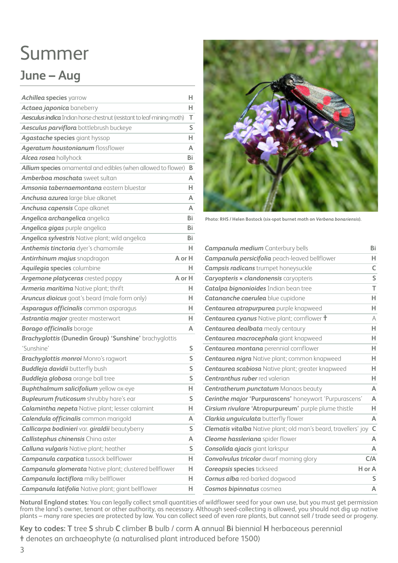# Summer

#### **June – Aug**

| <b>Achillea species yarrow</b>                                               | н                       |
|------------------------------------------------------------------------------|-------------------------|
| Actaea japonica baneberry                                                    | H                       |
| <b>Aesculus indica</b> Indian horse chestnut (resistant to leaf-mining moth) | T                       |
| Aesculus parviflora bottlebrush buckeye                                      | S                       |
| <b>Agastache species giant hyssop</b>                                        | H.                      |
| Ageratum houstonianum flossflower                                            | A                       |
| Alcea rosea hollyhock                                                        | Bi                      |
| Allium species ornamental and edibles (when allowed to flower)               | B                       |
| Amberboa moschata sweet sultan                                               | A                       |
| Amsonia tabernaemontana eastern bluestar                                     | H                       |
| Anchusa azurea large blue alkanet                                            | A                       |
| <b>Anchusa capensis</b> Cape alkanet                                         | A                       |
| Angelica archangelica angelica                                               | Bi                      |
| Angelica gigas purple angelica                                               | Bi                      |
| Angelica sylvestris Native plant; wild angelica                              | Bi                      |
| Anthemis tinctoria dyer's chamomile                                          | н                       |
| Antirrhinum majus snapdragon                                                 | A or H                  |
| Aquilegia species columbine                                                  | н                       |
| Argemone platyceras crested poppy                                            | A or H                  |
| Armeria maritima Native plant; thrift                                        | н                       |
| Aruncus dioicus goat's beard (male form only)                                | н                       |
| Asparagus officinalis common asparagus                                       | н                       |
| Astrantia major greater masterwort                                           | н                       |
| <b>Borago officinalis borage</b>                                             | A                       |
| Brachyglottis (Dunedin Group) 'Sunshine' brachyglottis                       |                         |
| 'Sunshine'                                                                   | S                       |
| <b>Brachyglottis monroi Monro's ragwort</b>                                  | $\overline{\mathsf{s}}$ |
| <b>Buddleja davidii</b> butterfly bush                                       | $\overline{\mathsf{s}}$ |
| <b>Buddleja globosa</b> orange ball tree                                     | S                       |
| <b>Buphthalmum salicifolium</b> yellow ox-eye                                | н                       |
| <b>Bupleurum fruticosum</b> shrubby hare's ear                               | S                       |
| <b>Calamintha nepeta</b> Native plant; lesser calamint                       | H.                      |
| <b>Calendula officinalis</b> common marigold                                 | A                       |
| Callicarpa bodinieri var. giraldii beautyberry                               | S                       |
| <b>Callistephus chinensis China aster</b>                                    | A                       |
| <b>Calluna vulgaris Native plant; heather</b>                                | S                       |
| <b>Campanula carpatica</b> tussock bellflower                                | H.                      |
| <b>Campanula glomerata</b> Native plant; clustered bellflower                | н                       |
| <b>Campanula lactiflora</b> milky bellflower                                 | н                       |
| <b>Campanula latifolia</b> Native plant; giant bellflower                    | н                       |



**Photo: RHS / Helen Bostock (six-spot burnet moth on** *Verbena bonariensis***).** 

| <b>Campanula medium</b> Canterbury bells                               | Bi     |
|------------------------------------------------------------------------|--------|
| <b>Campanula persicifolia</b> peach-leaved bellflower                  | Н.     |
| <b>Campsis radicans</b> trumpet honeysuckle                            | C      |
| Caryopteris x clandonensis caryopteris                                 | S      |
| <b>Catalpa bignonioides</b> Indian bean tree                           | T      |
| Catananche caerulea blue cupidone                                      | н      |
| Centaurea atropurpurea purple knapweed                                 | H      |
| <b>Centaurea cyanus</b> Native plant; cornflower <b>t</b>              | A      |
| <b>Centaurea dealbata</b> mealy centaury                               | H      |
| Centaurea macrocephala giant knapweed                                  | н      |
| <b>Centaurea montana</b> perennial cornflower                          | H      |
| Centaurea nigra Native plant; common knapweed                          | н      |
| <b>Centaurea scabiosa Native plant; greater knapweed</b>               | н      |
| <b>Centranthus ruber</b> red valerian                                  | н      |
| <b>Centratherum punctatum Manaos beauty</b>                            | A      |
| Cerinthe major 'Purpurascens' honeywort 'Purpurascens'                 | A      |
| Cirsium rivulare 'Atropurpureum' purple plume thistle                  | H      |
| <b>Clarkia unguiculata</b> butterfly flower                            | A      |
| <b>Clematis vitalba</b> Native plant; old man's beard, travellers' joy | C      |
| Cleome hassleriana spider flower                                       | A      |
| <b>Consolida ajacis</b> giant larkspur                                 | A      |
| <b>Convolvulus tricolor</b> dwarf morning glory                        | C/A    |
| <b>Coreopsis species tickseed</b>                                      | H or A |
| <b>Cornus alba</b> red-barked dogwood                                  | S      |
| <b>Cosmos bipinnatus cosmea</b>                                        | A      |

**Natural England states**: You can legally collect small quantities of wildflower seed for your own use, but you must get permission from the land's owner, tenant or other authority, as necessary. Although seed-collecting is allowed, you should not dig up native plants – many rare species are protected by law. You can collect seed of even rare plants, but cannot sell / trade seed or progeny.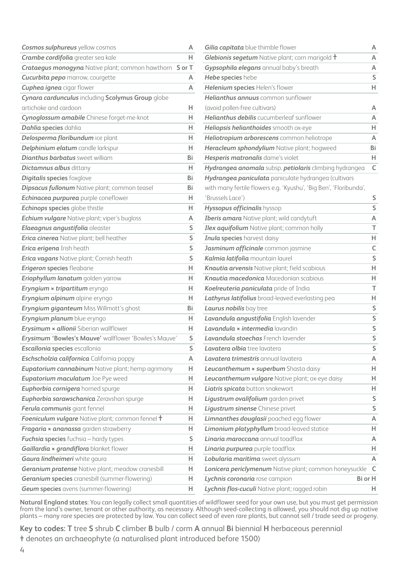| <b>Cosmos sulphureus</b> yellow cosmos                         | А  | Gilia capitata bl       |
|----------------------------------------------------------------|----|-------------------------|
| Crambe cordifolia greater sea kale                             | H. | Glebionis segetu        |
| <b>Crataegus monogyna</b> Native plant; common hawthorn S or T |    | Gypsophila eleg         |
| <b>Cucurbita pepo</b> marrow, courgette                        | A  | Hebe species he         |
| <b>Cuphea ignea</b> cigar flower                               | A  | Helenium specie         |
| Cynara cardunculus including Scolymus Group globe              |    | <b>Helianthus annu</b>  |
| artichoke and cardoon                                          | н. | (avoid pollen-free      |
| Cynoglossum amabile Chinese forget-me-knot                     | H. | <b>Helianthus debil</b> |
| Dahlia species dahlia                                          | н. | Heliopsis heliant       |
| Delosperma floribundum ice plant                               | н. | Heliotropium an         |
| Delphinium elatum candle larkspur                              | н. | Heracleum spho          |
| <b>Dianthus barbatus</b> sweet william                         | Bi | <b>Hesperis matror</b>  |
| <b>Dictamnus albus dittany</b>                                 | н. | Hydrangea anoi          |
| <b>Digitalis species foxglove</b>                              | Bi | Hydrangea pani          |
| <b>Dipsacus fullonum</b> Native plant; common teasel           | Bi | with many fertile       |
| Echinacea purpurea purple coneflower                           | н. | 'Brussels Lace')        |
| <b>Echinops species</b> globe thistle                          | н. | <b>Hyssopus officin</b> |
| <b>Echium vulgare</b> Native plant; viper's bugloss            | A  | <b>Iberis amara Na</b>  |
| Elaeagnus angustifolia oleaster                                | S  | Ilex aquifolium         |
| <b>Erica cinerea</b> Native plant; bell heather                | S  | Inula species ha        |
| Erica erigena Irish heath                                      | S  | Jasminum offici         |
| <b>Erica vagans</b> Native plant; Cornish heath                | S  | Kalmia latifolia        |
| <b>Erigeron species fleabane</b>                               | н. | Knautia arvensis        |
| Eriophyllum lanatum golden yarrow                              | н. | Knautia macedo          |
| Eryngium x tripartitum eryngo                                  | н. | Koelreuteria par        |
| Eryngium alpinum alpine eryngo                                 | н. | Lathyrus latifoli       |
| Eryngium giganteum Miss Willmott's ghost                       | Bi | Laurus nobilis bo       |
| Eryngium planum blue eryngo                                    | н. | Lavandula angu          |
| Erysimum x allionii Siberian wallflower                        | н. | Lavandula × inte        |
| Erysimum 'Bowles's Mauve' wallflower 'Bowles's Mauve'          | S  | Lavandula stoec         |
| Escallonia species escallonia                                  | S  | Lavatera olbia ti       |
| Eschscholzia californica California poppy                      | A  | Lavatera trimes         |
| <b>Eupatorium cannabinum</b> Native plant; hemp agrimony       | Н. | Leucanthemum            |
| Eupatorium maculatum Joe Pye weed                              | н. | Leucanthemum            |
| Euphorbia cornigera horned spurge                              | н. | Liatris spicata bi      |
| Euphorbia sarawschanica Zeravshan spurge                       | н. | Ligustrum ovalif        |
| Ferula communis giant fennel                                   | н. | Ligustrum sinen         |
| Foeniculum vulgare Native plant; common fennel t               | н. | <b>Limnanthes dou</b>   |
| Fragaria x ananassa garden strawberry                          | н. | Limonium platy          |
| Fuchsia species fuchsia - hardy types                          | S  | Linaria marocca         |
| Gaillardia x grandiflora blanket flower                        | H. | Linaria purpured        |
| Gaura lindheimeri white gaura                                  | н. | Lobularia mariti        |
| Geranium pratense Native plant; meadow cranesbill              | н. | Lonicera periclyi       |
| <b>Geranium species</b> cranesbill (summer-flowering)          | н. | Lychnis coronari        |
| <b>Geum species</b> avens (summer-flowering)                   | H  | Lychnis flos-cucu       |

| Gilia capitata blue thimble flower                                | A           |
|-------------------------------------------------------------------|-------------|
| <b>Glebionis segetum</b> Native plant; corn marigold $\dag$       | A           |
| Gypsophila elegans annual baby's breath                           | A           |
| Hebe species hebe                                                 | S           |
| Helenium species Helen's flower                                   | H           |
| Helianthus annuus common sunflower                                |             |
| (avoid pollen-free cultivars)                                     | A           |
| Helianthus debilis cucumberleaf sunflower                         | A           |
| Heliopsis helianthoides smooth ox-eye                             | H.          |
| Heliotropium arborescens common heliotrope                        | A           |
| Heracleum sphondylium Native plant; hogweed                       | Bi          |
| Hesperis matronalis dame's violet                                 | H.          |
| Hydrangea anomala subsp. petiolaris climbing hydrangea            | C           |
| Hydrangea paniculata paniculate hydrangea (cultivars              |             |
| with many fertile flowers e.g. 'Kyushu', 'Big Ben', 'Floribunda', |             |
| 'Brussels Lace')                                                  | S           |
| Hyssopus officinalis hyssop                                       | S           |
| <b>Iberis amara</b> Native plant; wild candytuft                  | A           |
| Ilex aquifolium Native plant; common holly                        | т           |
| <b>Inula species</b> harvest daisy                                | H           |
| Jasminum officinale common jasmine                                | $\mathsf C$ |
| Kalmia latifolia mountain laurel                                  | S           |
| <b>Knautia arvensis</b> Native plant; field scabious              | H           |
| <b>Knautia macedonica</b> Macedonian scabious                     | H.          |
| Koelreuteria paniculata pride of India                            | т           |
| Lathyrus latifolius broad-leaved everlasting pea                  | H           |
| Laurus nobilis bay tree                                           | S           |
| Lavandula angustifolia English lavender                           | S           |
| Lavandula x intermedia lavandin                                   | S           |
| Lavandula stoechas French lavender                                | S           |
| Lavatera olbia tree lavatera                                      | S           |
| <b>Lavatera trimestris</b> annual lavatera                        | A           |
| Leucanthemum x superbum Shasta daisy                              | н           |
| <b>Leucanthemum vulgare</b> Native plant; ox-eye daisy            | н           |
| Liatris spicata button snakewort                                  | н           |
| Ligustrum ovalifolium garden privet                               | S           |
| Ligustrum sinense Chinese privet                                  | S           |
| Limnanthes douglasii poached egg flower                           | А           |
| Limonium platyphyllum broad-leaved statice                        | н           |
| <b>Linaria maroccana</b> annual toadflax                          | А           |
| Linaria purpurea purple toadflax                                  | н           |
| Lobularia maritima sweet alyssum                                  | А           |
| Lonicera periclymenum Native plant; common honeysuckle            | C           |
| Bi or H<br>Lychnis coronaria rose campion                         |             |
| Lychnis flos-cuculi Native plant; ragged robin                    | н           |

**Natural England states**: You can legally collect small quantities of wildflower seed for your own use, but you must get permission from the land's owner, tenant or other authority, as necessary. Although seed-collecting is allowed, you should not dig up native plants – many rare species are protected by law. You can collect seed of even rare plants, but cannot sell / trade seed or progeny.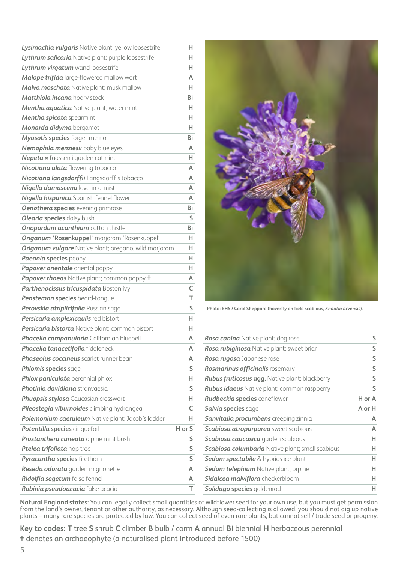| Lysimachia vulgaris Native plant; yellow loosestrife      | н                       |
|-----------------------------------------------------------|-------------------------|
| Lythrum salicaria Native plant; purple loosestrife        | H.                      |
| Lythrum virgatum wand loosestrife                         | H.                      |
| Malope trifida large-flowered mallow wort                 | A                       |
| Malva moschata Native plant; musk mallow                  | H.                      |
| Matthiola incana hoary stock                              | Bi                      |
| Mentha aquatica Native plant; water mint                  | н                       |
| Mentha spicata spearmint                                  | H.                      |
| Monarda didyma bergamot                                   | H.                      |
| Myosotis species forget-me-not                            | Bi                      |
| Nemophila menziesii baby blue eyes                        | A                       |
| Nepeta x faassenii garden catmint                         | H.                      |
| Nicotiana alata flowering tobacco                         | A                       |
| Nicotiana langsdorffii Langsdorff's tobacco               | A                       |
| Nigella damascena love-in-a-mist                          | A                       |
| Nigella hispanica Spanish fennel flower                   | A                       |
| <b>Oenothera species</b> evening primrose                 | Bi                      |
| <b>Olearia species</b> daisy bush                         | S                       |
| Onopordum acanthium cotton thistle                        | Bi                      |
| Origanum 'Rosenkuppel' marjoram 'Rosenkuppel'             | H.                      |
| Origanum vulgare Native plant; oregano, wild marjoram     | H.                      |
| Paeonia species peony                                     | H                       |
| Papaver orientale oriental poppy                          | H                       |
| <b>Papaver rhoeas</b> Native plant; common poppy <b>t</b> | A                       |
| Parthenocissus tricuspidata Boston ivy                    | C                       |
| Penstemon species beard-tongue                            | T                       |
| Perovskia atriplicifolia Russian sage                     | $\overline{\mathsf{S}}$ |
| Persicaria amplexicaulis red bistort                      | H.                      |
| Persicaria bistorta Native plant; common bistort          | H.                      |
| Phacelia campanularia Californian bluebell                | Α                       |
| Phacelia tanacetifolia fiddleneck                         | А                       |
| Phaseolus coccineus scarlet runner bean                   | А                       |
| Phlomis species sage                                      | S                       |
| Phlox paniculata perennial phlox                          | н.                      |
| Photinia davidiana stranvaesia                            | S                       |
| <b>Phuopsis stylosa</b> Caucasian crosswort               | H.                      |
| Pileostegia viburnoides climbing hydrangea                | C                       |
| Polemonium caeruleum Native plant; Jacob's ladder         | н                       |
| Potentilla species cinquefoil                             | H or S                  |
| Prostanthera cuneata alpine mint bush                     | S                       |
| Ptelea trifoliata hop tree                                | S                       |
| Pyracantha species firethorn                              | S                       |
| Reseda odorata garden mignonette                          | A                       |
| Ridolfia segetum false fennel                             | А                       |
| Robinia pseudoacacia false acacia                         | T                       |



**Photo: RHS / Carol Sheppard (hoverfly on field scabious,** *Knautia arvensis***).** 

| Rosa canina Native plant; dog rose                      | S      |
|---------------------------------------------------------|--------|
| <b>Rosa rubiginosa</b> Native plant; sweet briar        | S      |
| Rosa rugosa Japanese rose                               | S      |
| Rosmarinus officinalis rosemary                         | S      |
| <b>Rubus fruticosus agg.</b> Native plant; blackberry   | S      |
| <b>Rubus idaeus</b> Native plant; common raspberry      | S      |
| <b>Rudbeckia species</b> coneflower                     | H or A |
| <b>Salvia species</b> sage                              | A or H |
| Sanvitalia procumbens creeping zinnia                   | A      |
| <b>Scabiosa atropurpurea</b> sweet scabious             | A      |
| <b>Scabiosa caucasica</b> garden scabious               | н      |
| <b>Scabiosa columbaria</b> Native plant; small scabious | н      |
| <b>Sedum spectabile</b> & hybrids ice plant             | н      |
| Sedum telephium Native plant; orpine                    | н      |
| <b>Sidalcea malviflora</b> checkerbloom                 | н      |
| Solidago species goldenrod                              | н      |

**Natural England states**: You can legally collect small quantities of wildflower seed for your own use, but you must get permission from the land's owner, tenant or other authority, as necessary. Although seed-collecting is allowed, you should not dig up native plants – many rare species are protected by law. You can collect seed of even rare plants, but cannot sell / trade seed or progeny.